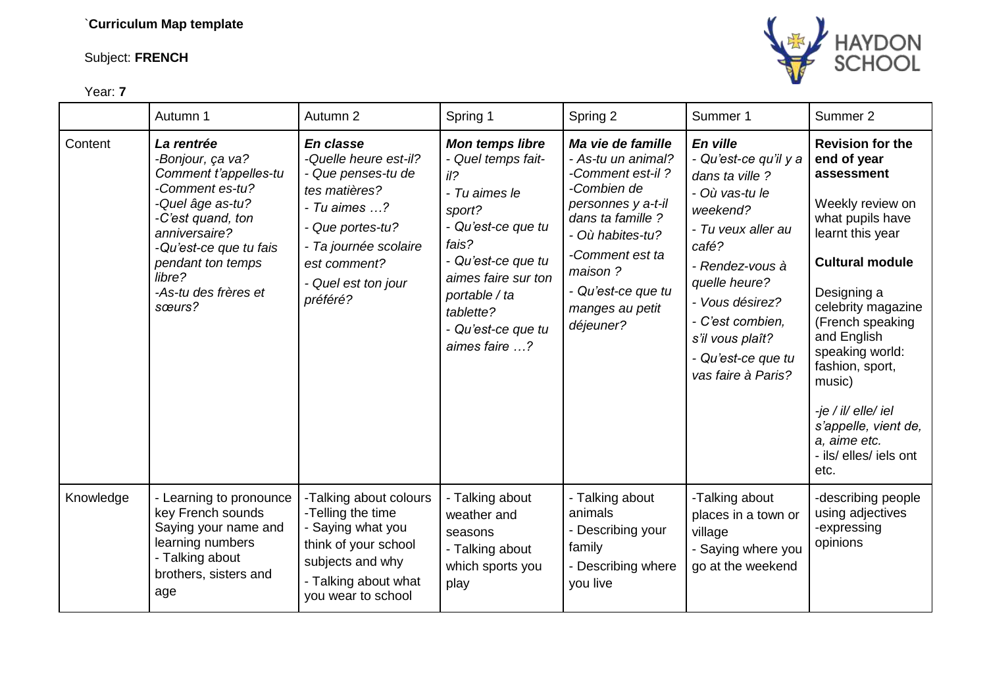## Subject: **FRENCH**



Year: **7**

|           | Autumn 1                                                                                                                                                                                                                        | Autumn 2                                                                                                                                                                                  | Spring 1                                                                                                                                                                                                                           | Spring 2                                                                                                                                                                                                                      | Summer 1                                                                                                                                                                                                                                                     | Summer 2                                                                                                                                                                                                                                                                                                                                                            |
|-----------|---------------------------------------------------------------------------------------------------------------------------------------------------------------------------------------------------------------------------------|-------------------------------------------------------------------------------------------------------------------------------------------------------------------------------------------|------------------------------------------------------------------------------------------------------------------------------------------------------------------------------------------------------------------------------------|-------------------------------------------------------------------------------------------------------------------------------------------------------------------------------------------------------------------------------|--------------------------------------------------------------------------------------------------------------------------------------------------------------------------------------------------------------------------------------------------------------|---------------------------------------------------------------------------------------------------------------------------------------------------------------------------------------------------------------------------------------------------------------------------------------------------------------------------------------------------------------------|
| Content   | La rentrée<br>-Bonjour, ça va?<br>Comment t'appelles-tu<br>-Comment es-tu?<br>-Quel âge as-tu?<br>-C'est quand, ton<br>anniversaire?<br>-Qu'est-ce que tu fais<br>pendant ton temps<br>libre?<br>-As-tu des frères et<br>sœurs? | En classe<br>-Quelle heure est-il?<br>- Que penses-tu de<br>tes matières?<br>- Tu aimes ?<br>- Que portes-tu?<br>- Ta journée scolaire<br>est comment?<br>- Quel est ton jour<br>préféré? | <b>Mon temps libre</b><br>- Quel temps fait-<br>$il$ ?<br>- Tu aimes le<br>sport?<br>- Qu'est-ce que tu<br>fais?<br>- Qu'est-ce que tu<br>aimes faire sur ton<br>portable / ta<br>tablette?<br>- Qu'est-ce que tu<br>aimes faire ? | Ma vie de famille<br>- As-tu un animal?<br>-Comment est-il?<br>-Combien de<br>personnes y a-t-il<br>dans ta famille ?<br>- Où habites-tu?<br>-Comment est ta<br>maison?<br>- Qu'est-ce que tu<br>manges au petit<br>déjeuner? | En ville<br>- Qu'est-ce qu'il y a<br>dans ta ville ?<br>- Où vas-tu le<br>weekend?<br>- Tu yeux aller au<br>café?<br>- Rendez-vous à<br>quelle heure?<br>- Vous désirez?<br>- C'est combien,<br>s'il vous plaît?<br>- Qu'est-ce que tu<br>vas faire à Paris? | <b>Revision for the</b><br>end of year<br>assessment<br>Weekly review on<br>what pupils have<br>learnt this year<br><b>Cultural module</b><br>Designing a<br>celebrity magazine<br>(French speaking<br>and English<br>speaking world:<br>fashion, sport,<br>music)<br>-je / il/ elle/ iel<br>s'appelle, vient de,<br>a, aime etc.<br>- ils/ elles/ iels ont<br>etc. |
| Knowledge | - Learning to pronounce<br>key French sounds<br>Saying your name and<br>learning numbers<br>- Talking about<br>brothers, sisters and<br>age                                                                                     | -Talking about colours<br>-Telling the time<br>- Saying what you<br>think of your school<br>subjects and why<br>- Talking about what<br>you wear to school                                | - Talking about<br>weather and<br>seasons<br>- Talking about<br>which sports you<br>play                                                                                                                                           | - Talking about<br>animals<br>- Describing your<br>family<br>- Describing where<br>you live                                                                                                                                   | -Talking about<br>places in a town or<br>village<br>- Saying where you<br>go at the weekend                                                                                                                                                                  | -describing people<br>using adjectives<br>-expressing<br>opinions                                                                                                                                                                                                                                                                                                   |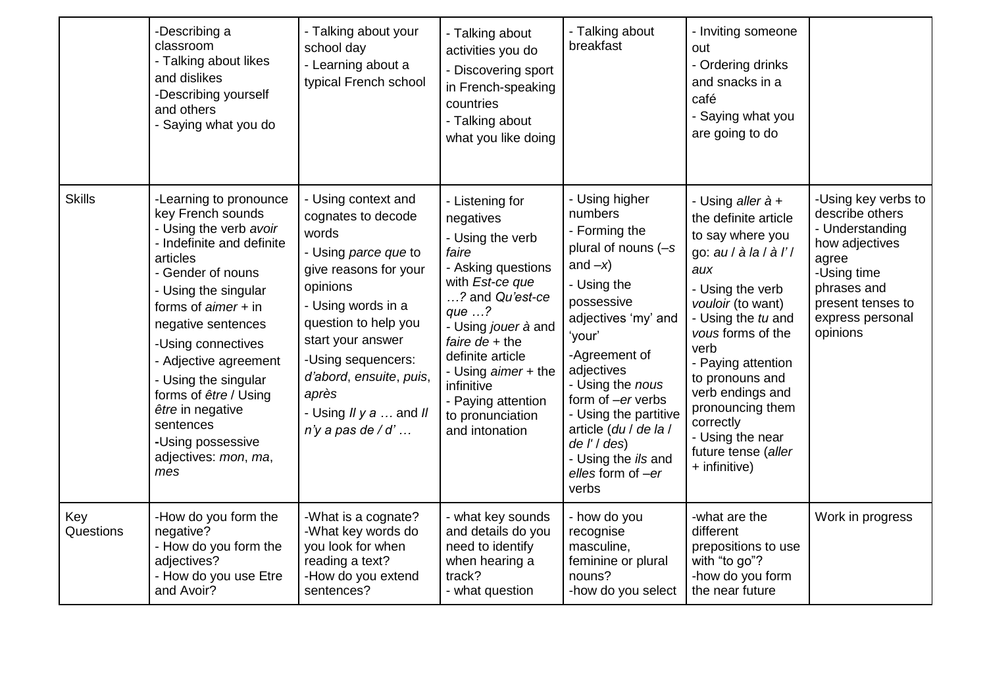|                  | -Describing a<br>classroom<br>- Talking about likes<br>and dislikes<br>-Describing yourself<br>and others<br>- Saying what you do                                                                                                                                                                                                                                                               | - Talking about your<br>school day<br>- Learning about a<br>typical French school                                                                                                                                                                                                                | - Talking about<br>activities you do<br>- Discovering sport<br>in French-speaking<br>countries<br>- Talking about<br>what you like doing                                                                                                                                                                | - Talking about<br>breakfast                                                                                                                                                                                                                                                                                                                    | - Inviting someone<br>out<br>- Ordering drinks<br>and snacks in a<br>café<br>- Saying what you<br>are going to do                                                                                                                                                                                                                                    |                                                                                                                                                                         |
|------------------|-------------------------------------------------------------------------------------------------------------------------------------------------------------------------------------------------------------------------------------------------------------------------------------------------------------------------------------------------------------------------------------------------|--------------------------------------------------------------------------------------------------------------------------------------------------------------------------------------------------------------------------------------------------------------------------------------------------|---------------------------------------------------------------------------------------------------------------------------------------------------------------------------------------------------------------------------------------------------------------------------------------------------------|-------------------------------------------------------------------------------------------------------------------------------------------------------------------------------------------------------------------------------------------------------------------------------------------------------------------------------------------------|------------------------------------------------------------------------------------------------------------------------------------------------------------------------------------------------------------------------------------------------------------------------------------------------------------------------------------------------------|-------------------------------------------------------------------------------------------------------------------------------------------------------------------------|
| <b>Skills</b>    | -Learning to pronounce<br>key French sounds<br>- Using the verb avoir<br>- Indefinite and definite<br>articles<br>- Gender of nouns<br>- Using the singular<br>forms of $aimer + in$<br>negative sentences<br>-Using connectives<br>- Adjective agreement<br>- Using the singular<br>forms of être / Using<br>être in negative<br>sentences<br>-Using possessive<br>adjectives: mon, ma,<br>mes | - Using context and<br>cognates to decode<br>words<br>- Using parce que to<br>give reasons for your<br>opinions<br>- Using words in a<br>question to help you<br>start your answer<br>-Using sequencers:<br>d'abord, ensuite, puis,<br>après<br>- Using $IIy a $ and $II$<br>$n'y$ a pas de / d' | - Listening for<br>negatives<br>- Using the verb<br>faire<br>- Asking questions<br>with Est-ce que<br>? and Qu'est-ce<br>que $\ldots$ ?<br>- Using jouer à and<br>faire $de + the$<br>definite article<br>- Using aimer + the<br>infinitive<br>- Paying attention<br>to pronunciation<br>and intonation | - Using higher<br>numbers<br>- Forming the<br>plural of nouns (-s<br>and $-x$ )<br>- Using the<br>possessive<br>adjectives 'my' and<br>'your'<br>-Agreement of<br>adjectives<br>- Using the nous<br>form of -er verbs<br>- Using the partitive<br>article (du / de la /<br>$de I'/des$ )<br>- Using the ils and<br>elles form of $-er$<br>verbs | - Using aller à +<br>the definite article<br>to say where you<br>go: au / à la / à l' /<br>aux<br>- Using the verb<br>vouloir (to want)<br>- Using the tu and<br>vous forms of the<br>verb<br>- Paying attention<br>to pronouns and<br>verb endings and<br>pronouncing them<br>correctly<br>- Using the near<br>future tense (aller<br>+ infinitive) | -Using key verbs to<br>describe others<br>- Understanding<br>how adjectives<br>agree<br>-Using time<br>phrases and<br>present tenses to<br>express personal<br>opinions |
| Key<br>Questions | -How do you form the<br>negative?<br>- How do you form the<br>adjectives?<br>- How do you use Etre<br>and Avoir?                                                                                                                                                                                                                                                                                | -What is a cognate?<br>-What key words do<br>you look for when<br>reading a text?<br>-How do you extend<br>sentences?                                                                                                                                                                            | - what key sounds<br>and details do you<br>need to identify<br>when hearing a<br>track?<br>- what question                                                                                                                                                                                              | - how do you<br>recognise<br>masculine,<br>feminine or plural<br>nouns?<br>-how do you select                                                                                                                                                                                                                                                   | -what are the<br>different<br>prepositions to use<br>with "to go"?<br>-how do you form<br>the near future                                                                                                                                                                                                                                            | Work in progress                                                                                                                                                        |